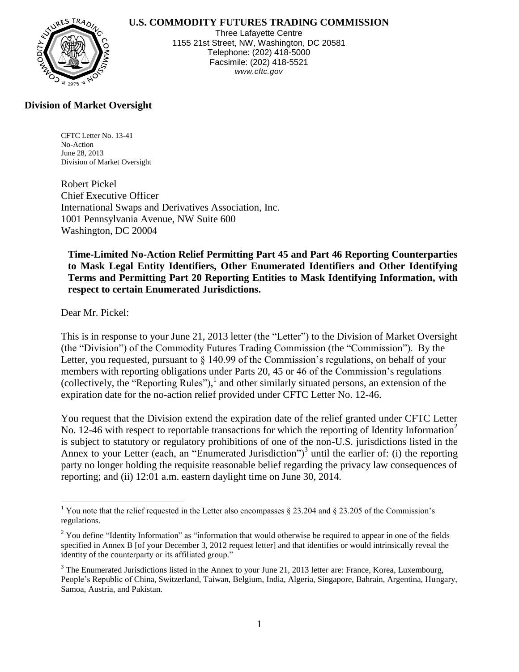### **U.S. COMMODITY FUTURES TRADING COMMISSION**



Three Lafayette Centre 1155 21st Street, NW, Washington, DC 20581 Telephone: (202) 418-5000 Facsimile: (202) 418-5521 *www.cftc.gov*

# **Division of Market Oversight**

CFTC Letter No. 13-41 No-Action June 28, 2013 Division of Market Oversight

Robert Pickel Chief Executive Officer International Swaps and Derivatives Association, Inc. 1001 Pennsylvania Avenue, NW Suite 600 Washington, DC 20004

**Time-Limited No-Action Relief Permitting Part 45 and Part 46 Reporting Counterparties to Mask Legal Entity Identifiers, Other Enumerated Identifiers and Other Identifying Terms and Permitting Part 20 Reporting Entities to Mask Identifying Information, with respect to certain Enumerated Jurisdictions.**

Dear Mr. Pickel:

 $\overline{a}$ 

This is in response to your June 21, 2013 letter (the "Letter") to the Division of Market Oversight (the "Division") of the Commodity Futures Trading Commission (the "Commission"). By the Letter, you requested, pursuant to § 140.99 of the Commission's regulations, on behalf of your members with reporting obligations under Parts 20, 45 or 46 of the Commission's regulations (collectively, the "Reporting Rules"), 1 and other similarly situated persons, an extension of the expiration date for the no-action relief provided under CFTC Letter No. 12-46.

You request that the Division extend the expiration date of the relief granted under CFTC Letter No. 12-46 with respect to reportable transactions for which the reporting of Identity Information<sup>2</sup> is subject to statutory or regulatory prohibitions of one of the non-U.S. jurisdictions listed in the Annex to your Letter (each, an "Enumerated Jurisdiction")<sup>3</sup> until the earlier of: (i) the reporting party no longer holding the requisite reasonable belief regarding the privacy law consequences of reporting; and (ii) 12:01 a.m. eastern daylight time on June 30, 2014.

<sup>&</sup>lt;sup>1</sup> You note that the relief requested in the Letter also encompasses  $\S$  23.204 and  $\S$  23.205 of the Commission's regulations.

<sup>&</sup>lt;sup>2</sup> You define "Identity Information" as "information that would otherwise be required to appear in one of the fields specified in Annex B [of your December 3, 2012 request letter] and that identifies or would intrinsically reveal the identity of the counterparty or its affiliated group."

<sup>&</sup>lt;sup>3</sup> The Enumerated Jurisdictions listed in the Annex to your June 21, 2013 letter are: France, Korea, Luxembourg, People's Republic of China, Switzerland, Taiwan, Belgium, India, Algeria, Singapore, Bahrain, Argentina, Hungary, Samoa, Austria, and Pakistan.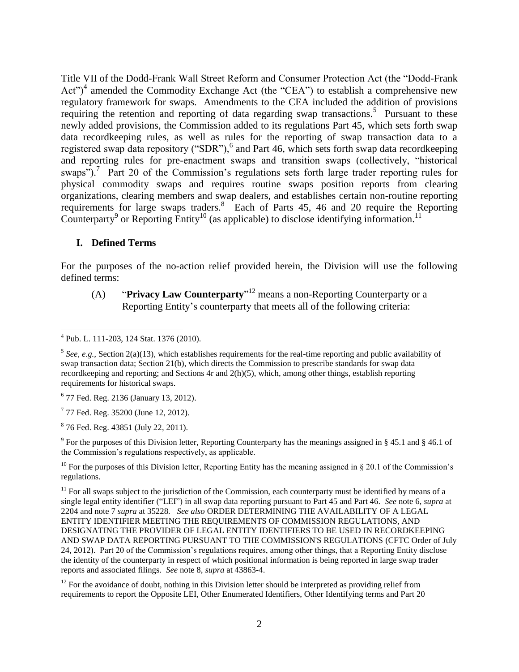Title VII of the Dodd-Frank Wall Street Reform and Consumer Protection Act (the "Dodd-Frank Act")<sup>4</sup> amended the Commodity Exchange Act (the "CEA") to establish a comprehensive new regulatory framework for swaps. Amendments to the CEA included the addition of provisions requiring the retention and reporting of data regarding swap transactions.<sup>5</sup> Pursuant to these newly added provisions, the Commission added to its regulations Part 45, which sets forth swap data recordkeeping rules, as well as rules for the reporting of swap transaction data to a registered swap data repository ("SDR"),<sup>6</sup> and Part 46, which sets forth swap data recordkeeping and reporting rules for pre-enactment swaps and transition swaps (collectively, "historical swaps").<sup>7</sup> Part 20 of the Commission's regulations sets forth large trader reporting rules for physical commodity swaps and requires routine swaps position reports from clearing organizations, clearing members and swap dealers, and establishes certain non-routine reporting requirements for large swaps traders.<sup>8</sup> Each of Parts 45, 46 and 20 require the Reporting Counterparty<sup>9</sup> or Reporting Entity<sup>10</sup> (as applicable) to disclose identifying information.<sup>11</sup>

### **I. Defined Terms**

 $\overline{a}$ 

For the purposes of the no-action relief provided herein, the Division will use the following defined terms:

(A) "**Privacy Law Counterparty**" 12 means a non-Reporting Counterparty or a Reporting Entity's counterparty that meets all of the following criteria:

<sup>9</sup> For the purposes of this Division letter, Reporting Counterparty has the meanings assigned in § 45.1 and § 46.1 of the Commission's regulations respectively, as applicable.

<sup>10</sup> For the purposes of this Division letter, Reporting Entity has the meaning assigned in § 20.1 of the Commission's regulations.

<sup>4</sup> Pub. L. 111-203, 124 Stat. 1376 (2010).

<sup>&</sup>lt;sup>5</sup> See, e.g., Section 2(a)(13), which establishes requirements for the real-time reporting and public availability of swap transaction data; Section 21(b), which directs the Commission to prescribe standards for swap data recordkeeping and reporting; and Sections 4r and 2(h)(5), which, among other things, establish reporting requirements for historical swaps.

<sup>6</sup> 77 Fed. Reg. 2136 (January 13, 2012).

<sup>&</sup>lt;sup>7</sup> 77 Fed. Reg. 35200 (June 12, 2012).

<sup>&</sup>lt;sup>8</sup> 76 Fed. Reg. 43851 (July 22, 2011).

 $11$  For all swaps subject to the jurisdiction of the Commission, each counterparty must be identified by means of a single legal entity identifier ("LEI") in all swap data reporting pursuant to Part 45 and Part 46. *See* note 6, *supra* at 2204 and note 7 *supra* at 35228*. See also* ORDER DETERMINING THE AVAILABILITY OF A LEGAL ENTITY IDENTIFIER MEETING THE REQUIREMENTS OF COMMISSION REGULATIONS, AND DESIGNATING THE PROVIDER OF LEGAL ENTITY IDENTIFIERS TO BE USED IN RECORDKEEPING AND SWAP DATA REPORTING PURSUANT TO THE COMMISSION'S REGULATIONS (CFTC Order of July 24, 2012). Part 20 of the Commission's regulations requires, among other things, that a Reporting Entity disclose the identity of the counterparty in respect of which positional information is being reported in large swap trader reports and associated filings. *See* note 8, *supra* at 43863-4.

 $12$  For the avoidance of doubt, nothing in this Division letter should be interpreted as providing relief from requirements to report the Opposite LEI, Other Enumerated Identifiers, Other Identifying terms and Part 20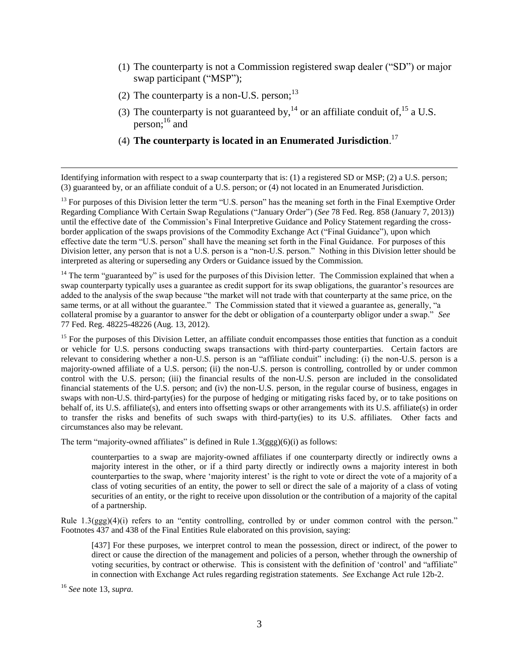- (1) The counterparty is not a Commission registered swap dealer ("SD") or major swap participant ("MSP");
- (2) The counterparty is a non-U.S. person;  $13$
- (3) The counterparty is not guaranteed by,  $^{14}$  or an affiliate conduit of,  $^{15}$  a U.S. person; <sup>16</sup> and
- (4) **The counterparty is located in an Enumerated Jurisdiction**. 17

Identifying information with respect to a swap counterparty that is: (1) a registered SD or MSP; (2) a U.S. person; (3) guaranteed by, or an affiliate conduit of a U.S. person; or (4) not located in an Enumerated Jurisdiction.

<sup>13</sup> For purposes of this Division letter the term "U.S. person" has the meaning set forth in the Final Exemptive Order Regarding Compliance With Certain Swap Regulations ("January Order") (*See* 78 Fed. Reg. 858 (January 7, 2013)) until the effective date of the Commission's Final Interpretive Guidance and Policy Statement regarding the crossborder application of the swaps provisions of the Commodity Exchange Act ("Final Guidance"), upon which effective date the term "U.S. person" shall have the meaning set forth in the Final Guidance. For purposes of this Division letter, any person that is not a U.S. person is a "non-U.S. person." Nothing in this Division letter should be interpreted as altering or superseding any Orders or Guidance issued by the Commission.

 $14$  The term "guaranteed by" is used for the purposes of this Division letter. The Commission explained that when a swap counterparty typically uses a guarantee as credit support for its swap obligations, the guarantor's resources are added to the analysis of the swap because "the market will not trade with that counterparty at the same price, on the same terms, or at all without the guarantee." The Commission stated that it viewed a guarantee as, generally, "a collateral promise by a guarantor to answer for the debt or obligation of a counterparty obligor under a swap." *See* 77 Fed. Reg. 48225-48226 (Aug. 13, 2012).

<sup>15</sup> For the purposes of this Division Letter, an affiliate conduit encompasses those entities that function as a conduit or vehicle for U.S. persons conducting swaps transactions with third-party counterparties. Certain factors are relevant to considering whether a non-U.S. person is an "affiliate conduit" including: (i) the non-U.S. person is a majority-owned affiliate of a U.S. person; (ii) the non-U.S. person is controlling, controlled by or under common control with the U.S. person; (iii) the financial results of the non-U.S. person are included in the consolidated financial statements of the U.S. person; and (iv) the non-U.S. person, in the regular course of business, engages in swaps with non-U.S. third-party(ies) for the purpose of hedging or mitigating risks faced by, or to take positions on behalf of, its U.S. affiliate(s), and enters into offsetting swaps or other arrangements with its U.S. affiliate(s) in order to transfer the risks and benefits of such swaps with third-party(ies) to its U.S. affiliates. Other facts and circumstances also may be relevant.

The term "majority-owned affiliates" is defined in Rule 1.3(ggg)(6)(i) as follows:

counterparties to a swap are majority-owned affiliates if one counterparty directly or indirectly owns a majority interest in the other, or if a third party directly or indirectly owns a majority interest in both counterparties to the swap, where 'majority interest' is the right to vote or direct the vote of a majority of a class of voting securities of an entity, the power to sell or direct the sale of a majority of a class of voting securities of an entity, or the right to receive upon dissolution or the contribution of a majority of the capital of a partnership.

Rule 1.3(ggg)(4)(i) refers to an "entity controlling, controlled by or under common control with the person." Footnotes 437 and 438 of the Final Entities Rule elaborated on this provision, saying:

[437] For these purposes, we interpret control to mean the possession, direct or indirect, of the power to direct or cause the direction of the management and policies of a person, whether through the ownership of voting securities, by contract or otherwise. This is consistent with the definition of 'control' and "affiliate" in connection with Exchange Act rules regarding registration statements. *See* Exchange Act rule 12b-2.

<sup>16</sup> *See* note 13, *supra.*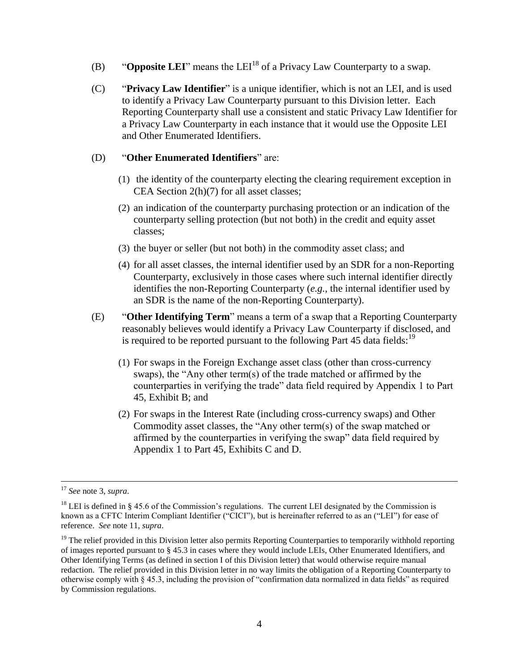- (B) "**Opposite LEI**" means the  $LEI<sup>18</sup>$  of a Privacy Law Counterparty to a swap.
- (C) "**Privacy Law Identifier**" is a unique identifier, which is not an LEI, and is used to identify a Privacy Law Counterparty pursuant to this Division letter. Each Reporting Counterparty shall use a consistent and static Privacy Law Identifier for a Privacy Law Counterparty in each instance that it would use the Opposite LEI and Other Enumerated Identifiers.

#### (D) "**Other Enumerated Identifiers**" are:

- (1) the identity of the counterparty electing the clearing requirement exception in CEA Section 2(h)(7) for all asset classes;
- (2) an indication of the counterparty purchasing protection or an indication of the counterparty selling protection (but not both) in the credit and equity asset classes;
- (3) the buyer or seller (but not both) in the commodity asset class; and
- (4) for all asset classes, the internal identifier used by an SDR for a non-Reporting Counterparty, exclusively in those cases where such internal identifier directly identifies the non-Reporting Counterparty (*e.g.*, the internal identifier used by an SDR is the name of the non-Reporting Counterparty).
- (E) "**Other Identifying Term**" means a term of a swap that a Reporting Counterparty reasonably believes would identify a Privacy Law Counterparty if disclosed, and is required to be reported pursuant to the following Part 45 data fields:  $19$ 
	- (1) For swaps in the Foreign Exchange asset class (other than cross-currency swaps), the "Any other term(s) of the trade matched or affirmed by the counterparties in verifying the trade" data field required by Appendix 1 to Part 45, Exhibit B; and
	- (2) For swaps in the Interest Rate (including cross-currency swaps) and Other Commodity asset classes, the "Any other term(s) of the swap matched or affirmed by the counterparties in verifying the swap" data field required by Appendix 1 to Part 45, Exhibits C and D.

<sup>17</sup> *See* note 3, *supra*.

<sup>&</sup>lt;sup>18</sup> LEI is defined in § 45.6 of the Commission's regulations. The current LEI designated by the Commission is known as a CFTC Interim Compliant Identifier ("CICI"), but is hereinafter referred to as an ("LEI") for ease of reference. *See* note 11, *supra*.

<sup>&</sup>lt;sup>19</sup> The relief provided in this Division letter also permits Reporting Counterparties to temporarily withhold reporting of images reported pursuant to § 45.3 in cases where they would include LEIs, Other Enumerated Identifiers, and Other Identifying Terms (as defined in section I of this Division letter) that would otherwise require manual redaction. The relief provided in this Division letter in no way limits the obligation of a Reporting Counterparty to otherwise comply with § 45.3, including the provision of "confirmation data normalized in data fields" as required by Commission regulations.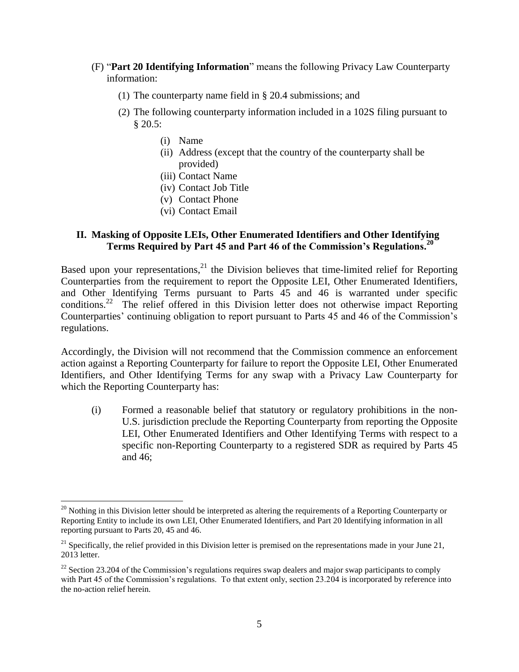- (F) "**Part 20 Identifying Information**" means the following Privacy Law Counterparty information:
	- (1) The counterparty name field in § 20.4 submissions; and
	- (2) The following counterparty information included in a 102S filing pursuant to § 20.5:
		- (i) Name

 $\overline{a}$ 

- (ii) Address (except that the country of the counterparty shall be provided)
- (iii) Contact Name
- (iv) Contact Job Title
- (v) Contact Phone
- (vi) Contact Email

### **II. Masking of Opposite LEIs, Other Enumerated Identifiers and Other Identifying Terms Required by Part 45 and Part 46 of the Commission's Regulations.<sup>20</sup>**

Based upon your representations,  $21$  the Division believes that time-limited relief for Reporting Counterparties from the requirement to report the Opposite LEI, Other Enumerated Identifiers, and Other Identifying Terms pursuant to Parts 45 and 46 is warranted under specific conditions.<sup>22</sup> The relief offered in this Division letter does not otherwise impact Reporting Counterparties' continuing obligation to report pursuant to Parts 45 and 46 of the Commission's regulations.

Accordingly, the Division will not recommend that the Commission commence an enforcement action against a Reporting Counterparty for failure to report the Opposite LEI, Other Enumerated Identifiers, and Other Identifying Terms for any swap with a Privacy Law Counterparty for which the Reporting Counterparty has:

(i) Formed a reasonable belief that statutory or regulatory prohibitions in the non-U.S. jurisdiction preclude the Reporting Counterparty from reporting the Opposite LEI, Other Enumerated Identifiers and Other Identifying Terms with respect to a specific non-Reporting Counterparty to a registered SDR as required by Parts 45 and 46;

 $^{20}$  Nothing in this Division letter should be interpreted as altering the requirements of a Reporting Counterparty or Reporting Entity to include its own LEI, Other Enumerated Identifiers, and Part 20 Identifying information in all reporting pursuant to Parts 20, 45 and 46.

 $^{21}$  Specifically, the relief provided in this Division letter is premised on the representations made in your June 21, 2013 letter.

 $22$  Section 23.204 of the Commission's regulations requires swap dealers and major swap participants to comply with Part 45 of the Commission's regulations. To that extent only, section 23.204 is incorporated by reference into the no-action relief herein.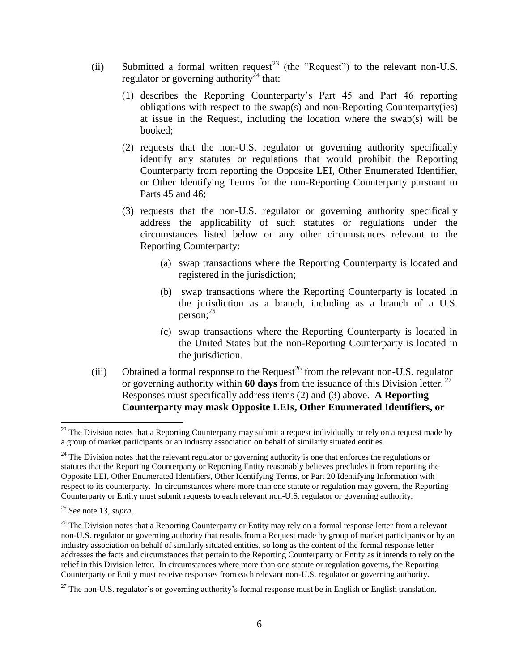- (ii) Submitted a formal written request<sup>23</sup> (the "Request") to the relevant non-U.S. regulator or governing authority<sup>24</sup> that:
	- (1) describes the Reporting Counterparty's Part 45 and Part 46 reporting obligations with respect to the swap(s) and non-Reporting Counterparty(ies) at issue in the Request, including the location where the swap(s) will be booked;
	- (2) requests that the non-U.S. regulator or governing authority specifically identify any statutes or regulations that would prohibit the Reporting Counterparty from reporting the Opposite LEI, Other Enumerated Identifier, or Other Identifying Terms for the non-Reporting Counterparty pursuant to Parts 45 and 46;
	- (3) requests that the non-U.S. regulator or governing authority specifically address the applicability of such statutes or regulations under the circumstances listed below or any other circumstances relevant to the Reporting Counterparty:
		- (a) swap transactions where the Reporting Counterparty is located and registered in the jurisdiction;
		- (b) swap transactions where the Reporting Counterparty is located in the jurisdiction as a branch, including as a branch of a U.S. person; 25
		- (c) swap transactions where the Reporting Counterparty is located in the United States but the non-Reporting Counterparty is located in the jurisdiction.
- (iii) Obtained a formal response to the Request<sup>26</sup> from the relevant non-U.S. regulator or governing authority within **60 days** from the issuance of this Division letter. 27 Responses must specifically address items (2) and (3) above. **A Reporting Counterparty may mask Opposite LEIs, Other Enumerated Identifiers, or**

<sup>&</sup>lt;sup>23</sup> The Division notes that a Reporting Counterparty may submit a request individually or rely on a request made by a group of market participants or an industry association on behalf of similarly situated entities.

 $24$  The Division notes that the relevant regulator or governing authority is one that enforces the regulations or statutes that the Reporting Counterparty or Reporting Entity reasonably believes precludes it from reporting the Opposite LEI, Other Enumerated Identifiers, Other Identifying Terms, or Part 20 Identifying Information with respect to its counterparty. In circumstances where more than one statute or regulation may govern, the Reporting Counterparty or Entity must submit requests to each relevant non-U.S. regulator or governing authority.

<sup>25</sup> *See* note 13, *supra*.

 $26$  The Division notes that a Reporting Counterparty or Entity may rely on a formal response letter from a relevant non-U.S. regulator or governing authority that results from a Request made by group of market participants or by an industry association on behalf of similarly situated entities, so long as the content of the formal response letter addresses the facts and circumstances that pertain to the Reporting Counterparty or Entity as it intends to rely on the relief in this Division letter. In circumstances where more than one statute or regulation governs, the Reporting Counterparty or Entity must receive responses from each relevant non-U.S. regulator or governing authority.

 $^{27}$  The non-U.S. regulator's or governing authority's formal response must be in English or English translation.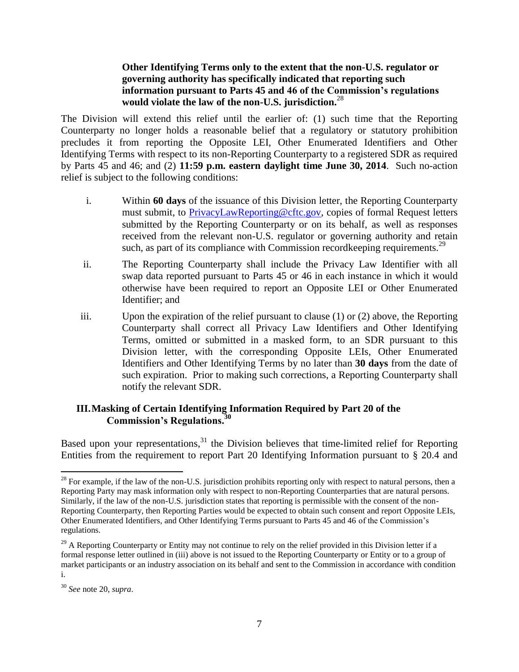### **Other Identifying Terms only to the extent that the non-U.S. regulator or governing authority has specifically indicated that reporting such information pursuant to Parts 45 and 46 of the Commission's regulations would violate the law of the non-U.S. jurisdiction.**<sup>28</sup>

The Division will extend this relief until the earlier of: (1) such time that the Reporting Counterparty no longer holds a reasonable belief that a regulatory or statutory prohibition precludes it from reporting the Opposite LEI, Other Enumerated Identifiers and Other Identifying Terms with respect to its non-Reporting Counterparty to a registered SDR as required by Parts 45 and 46; and (2) **11:59 p.m. eastern daylight time June 30, 2014**. Such no-action relief is subject to the following conditions:

- i. Within **60 days** of the issuance of this Division letter, the Reporting Counterparty must submit, to [PrivacyLawReporting@cftc.gov,](mailto:PrivacyLawReporting@cftc.gov) copies of formal Request letters submitted by the Reporting Counterparty or on its behalf, as well as responses received from the relevant non-U.S. regulator or governing authority and retain such, as part of its compliance with Commission record keeping requirements.<sup>29</sup>
- ii. The Reporting Counterparty shall include the Privacy Law Identifier with all swap data reported pursuant to Parts 45 or 46 in each instance in which it would otherwise have been required to report an Opposite LEI or Other Enumerated Identifier; and
- iii. Upon the expiration of the relief pursuant to clause (1) or (2) above, the Reporting Counterparty shall correct all Privacy Law Identifiers and Other Identifying Terms, omitted or submitted in a masked form, to an SDR pursuant to this Division letter, with the corresponding Opposite LEIs, Other Enumerated Identifiers and Other Identifying Terms by no later than **30 days** from the date of such expiration. Prior to making such corrections, a Reporting Counterparty shall notify the relevant SDR.

## **III.Masking of Certain Identifying Information Required by Part 20 of the Commission's Regulations.<sup>30</sup>**

Based upon your representations,<sup>31</sup> the Division believes that time-limited relief for Reporting Entities from the requirement to report Part 20 Identifying Information pursuant to § 20.4 and

 $\overline{a}$  $2<sup>28</sup>$  For example, if the law of the non-U.S. jurisdiction prohibits reporting only with respect to natural persons, then a Reporting Party may mask information only with respect to non-Reporting Counterparties that are natural persons. Similarly, if the law of the non-U.S. jurisdiction states that reporting is permissible with the consent of the non-Reporting Counterparty, then Reporting Parties would be expected to obtain such consent and report Opposite LEIs, Other Enumerated Identifiers, and Other Identifying Terms pursuant to Parts 45 and 46 of the Commission's regulations.

<sup>&</sup>lt;sup>29</sup> A Reporting Counterparty or Entity may not continue to rely on the relief provided in this Division letter if a formal response letter outlined in (iii) above is not issued to the Reporting Counterparty or Entity or to a group of market participants or an industry association on its behalf and sent to the Commission in accordance with condition i.

<sup>30</sup> *See* note 20, *supra*.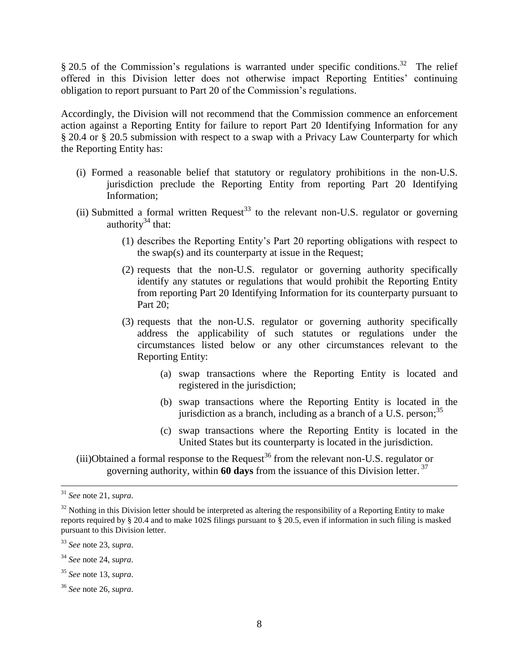$§$  20.5 of the Commission's regulations is warranted under specific conditions.<sup>32</sup> The relief offered in this Division letter does not otherwise impact Reporting Entities' continuing obligation to report pursuant to Part 20 of the Commission's regulations.

Accordingly, the Division will not recommend that the Commission commence an enforcement action against a Reporting Entity for failure to report Part 20 Identifying Information for any § 20.4 or § 20.5 submission with respect to a swap with a Privacy Law Counterparty for which the Reporting Entity has:

- (i) Formed a reasonable belief that statutory or regulatory prohibitions in the non-U.S. jurisdiction preclude the Reporting Entity from reporting Part 20 Identifying Information;
- (ii) Submitted a formal written Request<sup>33</sup> to the relevant non-U.S. regulator or governing authority $34$  that:
	- (1) describes the Reporting Entity's Part 20 reporting obligations with respect to the swap(s) and its counterparty at issue in the Request;
	- (2) requests that the non-U.S. regulator or governing authority specifically identify any statutes or regulations that would prohibit the Reporting Entity from reporting Part 20 Identifying Information for its counterparty pursuant to Part 20:
	- (3) requests that the non-U.S. regulator or governing authority specifically address the applicability of such statutes or regulations under the circumstances listed below or any other circumstances relevant to the Reporting Entity:
		- (a) swap transactions where the Reporting Entity is located and registered in the jurisdiction;
		- (b) swap transactions where the Reporting Entity is located in the jurisdiction as a branch, including as a branch of a U.S. person;<sup>35</sup>
		- (c) swap transactions where the Reporting Entity is located in the United States but its counterparty is located in the jurisdiction.

(iii)Obtained a formal response to the Request<sup>36</sup> from the relevant non-U.S. regulator or governing authority, within **60 days** from the issuance of this Division letter. 37

 $\overline{a}$ 

<sup>35</sup> *See* note 13, *supra*.

<sup>31</sup> *See* note 21, *supra*.

 $32$  Nothing in this Division letter should be interpreted as altering the responsibility of a Reporting Entity to make reports required by § 20.4 and to make 102S filings pursuant to § 20.5, even if information in such filing is masked pursuant to this Division letter.

<sup>33</sup> *See* note 23, *supra*.

<sup>34</sup> *See* note 24, *supra*.

<sup>36</sup> *See* note 26, *supra*.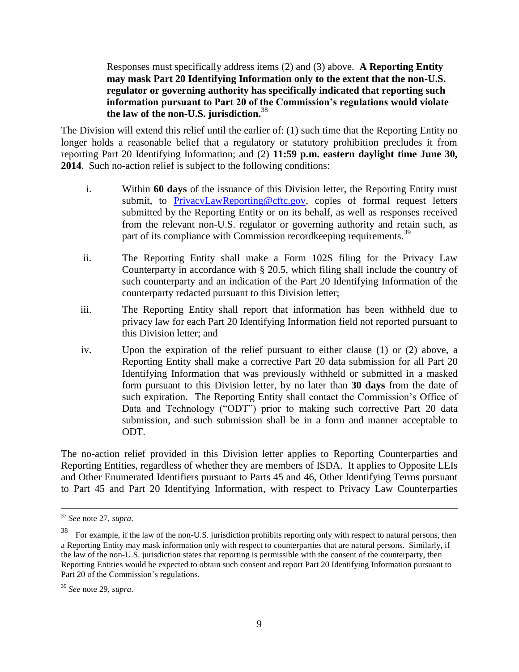Responses must specifically address items (2) and (3) above. **A Reporting Entity may mask Part 20 Identifying Information only to the extent that the non-U.S. regulator or governing authority has specifically indicated that reporting such information pursuant to Part 20 of the Commission's regulations would violate the law of the non-U.S. jurisdiction.**<sup>38</sup>

The Division will extend this relief until the earlier of: (1) such time that the Reporting Entity no longer holds a reasonable belief that a regulatory or statutory prohibition precludes it from reporting Part 20 Identifying Information; and (2) **11:59 p.m. eastern daylight time June 30, 2014**. Such no-action relief is subject to the following conditions:

- i. Within **60 days** of the issuance of this Division letter, the Reporting Entity must submit, to [PrivacyLawReporting@cftc.gov,](mailto:PrivacyLawReporting@cftc.gov) copies of formal request letters submitted by the Reporting Entity or on its behalf, as well as responses received from the relevant non-U.S. regulator or governing authority and retain such, as part of its compliance with Commission recordkeeping requirements.<sup>39</sup>
- ii. The Reporting Entity shall make a Form 102S filing for the Privacy Law Counterparty in accordance with § 20.5, which filing shall include the country of such counterparty and an indication of the Part 20 Identifying Information of the counterparty redacted pursuant to this Division letter;
- iii. The Reporting Entity shall report that information has been withheld due to privacy law for each Part 20 Identifying Information field not reported pursuant to this Division letter; and
- iv. Upon the expiration of the relief pursuant to either clause (1) or (2) above, a Reporting Entity shall make a corrective Part 20 data submission for all Part 20 Identifying Information that was previously withheld or submitted in a masked form pursuant to this Division letter, by no later than **30 days** from the date of such expiration. The Reporting Entity shall contact the Commission's Office of Data and Technology ("ODT") prior to making such corrective Part 20 data submission, and such submission shall be in a form and manner acceptable to ODT.

The no-action relief provided in this Division letter applies to Reporting Counterparties and Reporting Entities, regardless of whether they are members of ISDA. It applies to Opposite LEIs and Other Enumerated Identifiers pursuant to Parts 45 and 46, Other Identifying Terms pursuant to Part 45 and Part 20 Identifying Information, with respect to Privacy Law Counterparties

<sup>37</sup> *See* note 27, *supra*.

<sup>38</sup> For example, if the law of the non-U.S. jurisdiction prohibits reporting only with respect to natural persons, then a Reporting Entity may mask information only with respect to counterparties that are natural persons. Similarly, if the law of the non-U.S. jurisdiction states that reporting is permissible with the consent of the counterparty, then Reporting Entities would be expected to obtain such consent and report Part 20 Identifying Information pursuant to Part 20 of the Commission's regulations.

<sup>39</sup> *See* note 29, *supra*.